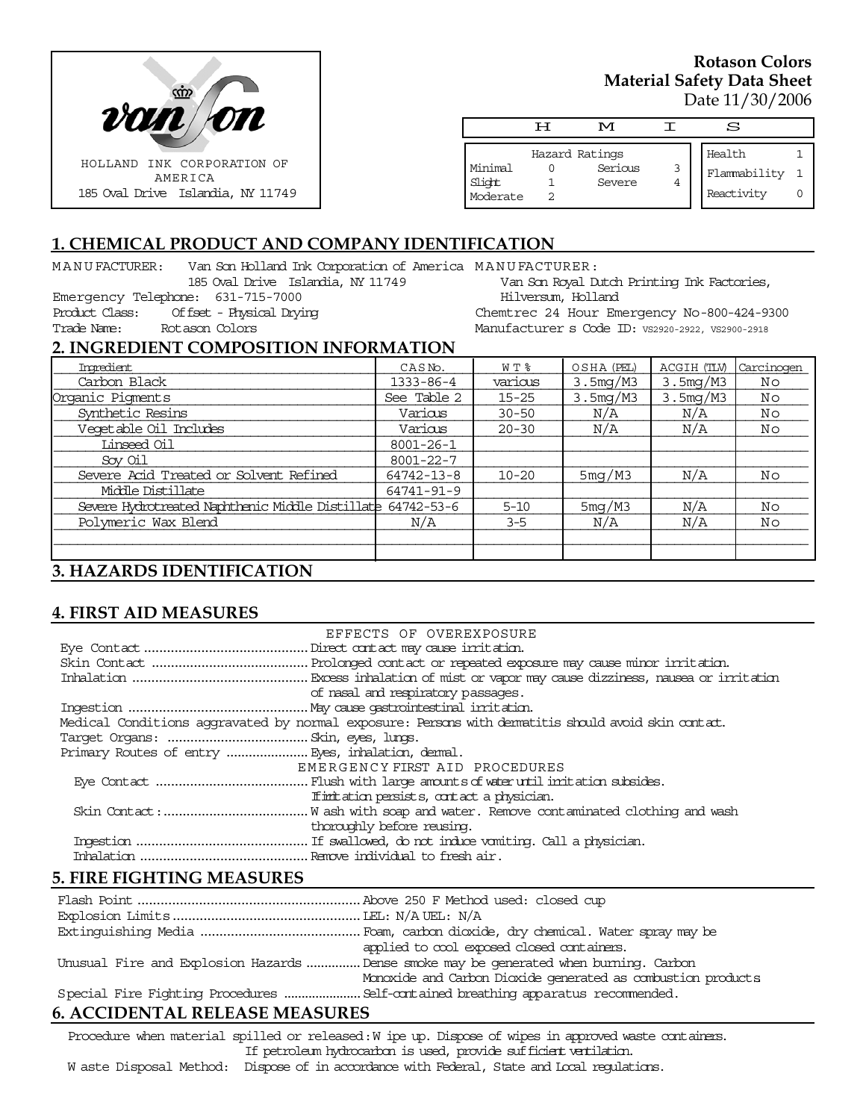

### **Rotason Colors Material Safety Data Sheet**  Date 11/30/2006

|                               | ਸ | M                 |        | S                          |  |
|-------------------------------|---|-------------------|--------|----------------------------|--|
|                               |   | Hazard Ratings    |        | Health                     |  |
| Minimal<br>Slight<br>Moderate |   | Serious<br>Severe | 3<br>4 | Flammability<br>Reactivity |  |

## **1. CHEMICAL PRODUCT AND COMPANY IDENTIFICATION**

| Van Son Holland Ink Corporation of America MANU FACTURER:<br>MANU FACTURER:<br>185 Oval Drive Islandia, NY 11749 |  |                     | Van Son Royal Dutch Printing Ink Factories,      |                       |                       |            |  |
|------------------------------------------------------------------------------------------------------------------|--|---------------------|--------------------------------------------------|-----------------------|-----------------------|------------|--|
| Emergency Telephone: 631-715-7000                                                                                |  |                     | Hilversum, Holland                               |                       |                       |            |  |
| Of fset - Physical Drying<br>Product Class:                                                                      |  |                     | Chemtrec 24 Hour Emergency No-800-424-9300       |                       |                       |            |  |
| Trade Name:<br>Rotason Colors                                                                                    |  |                     | Manufacturer s Code ID: VS2920-2922, VS2900-2918 |                       |                       |            |  |
| 2. INGREDIENT COMPOSITION INFORMATION                                                                            |  |                     |                                                  |                       |                       |            |  |
| Ingredient                                                                                                       |  | CASN <sub>o</sub> . | W T %                                            | OSHA (PEL)            | ACGIH (TLV)           | Carcinogen |  |
| Carbon Black                                                                                                     |  | 1333-86-4           | various                                          | 3.5 <sub>mq</sub> /M3 | 3.5 <sub>mq</sub> /M3 | Νo         |  |
| Organic Pigments                                                                                                 |  | See Table 2         | $15 - 25$                                        | 3.5mg/M3              | 3.5mg/M3              | Νo         |  |
| Synthetic Resins                                                                                                 |  | Various             | $30 - 50$                                        | N/A                   | N/A                   | Νo         |  |
| Vegetable Oil Includes                                                                                           |  | Various             | $20 - 30$                                        | N/A                   | N/A                   | Νo         |  |
| Linseed Oil                                                                                                      |  | $8001 - 26 - 1$     |                                                  |                       |                       |            |  |
| Sov Oil                                                                                                          |  | $8001 - 22 - 7$     |                                                  |                       |                       |            |  |
| Severe Acid Treated or Solvent Refined                                                                           |  | 64742-13-8          | $10 - 20$                                        | 5mg/M3                | N/A                   | Nο         |  |
| Middle Distillate                                                                                                |  | 64741-91-9          |                                                  |                       |                       |            |  |

Severe Hydrotreated Naphthenic Middle Distillate 64742-53-6  $\vert$  5-10  $\vert$  5mg/M3  $\vert$  N/A  $\vert$  No Polymeric Wax Blend N/A  $\vert$  N/A  $\vert$  3-5  $\vert$  N/A  $\vert$  N/A  $\vert$  No \_\_\_\_\_\_\_\_\_\_\_\_\_\_\_\_\_\_\_\_\_\_\_\_\_\_\_\_\_\_\_\_\_\_\_\_\_\_\_\_\_\_\_\_\_\_\_\_\_\_\_\_\_\_\_\_\_\_\_\_\_\_\_\_\_\_\_\_\_\_\_\_\_\_\_\_\_\_\_\_\_\_\_\_\_\_\_\_\_\_\_\_\_\_\_\_

## **3. HAZARDS IDENTIFICATION**

### **4. FIRST AID MEASURES**

| EFFECTS OF OVEREXPOSURE                                                                            |  |
|----------------------------------------------------------------------------------------------------|--|
|                                                                                                    |  |
|                                                                                                    |  |
|                                                                                                    |  |
| of nasal and respiratory passages.                                                                 |  |
|                                                                                                    |  |
| Medical Conditions aggravated by normal exposure: Persons with dematitis should avoid skin contat. |  |
|                                                                                                    |  |
|                                                                                                    |  |
| EMERGENCY FIRST AID PROCEDURES                                                                     |  |
|                                                                                                    |  |
| If initiation persists, contact a physician.                                                       |  |
|                                                                                                    |  |
| thoroughly before reusing.                                                                         |  |
|                                                                                                    |  |
|                                                                                                    |  |
|                                                                                                    |  |

### **5. FIRE FIGHTING MEASURES**

| applied to cool exposed closed containers.                                            |
|---------------------------------------------------------------------------------------|
| Unusual Fire and Explosion Hazards  Dense smoke may be generated when burning. Carbon |
| Monoxide and Carbon Dioxide generated as combustion products                          |
|                                                                                       |

## **6. ACCIDENTAL RELEASE MEASURES**

Procedure when material spilled or released: W ipe up. Dispose of wipes in approved waste containers. If petroleum hydrocarbon is used, provide sufficient ventilation.

W aste Disposal Method: Dispose of in accordance with Federal, State and Local regulations.